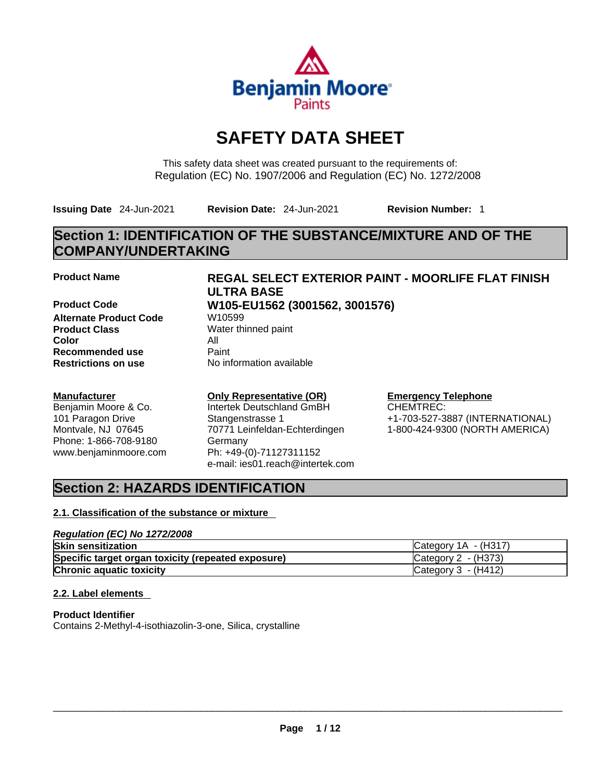

# **SAFETY DATA SHEET**

This safety data sheet was created pursuant to the requirements of: Regulation (EC) No. 1907/2006 and Regulation (EC) No. 1272/2008

**Issuing Date** 24-Jun-2021 **Revision Date:** 24-Jun-2021 **Revision Number:** 1

# **Section 1: IDENTIFICATION OF THE SUBSTANCE/MIXTURE AND OF THE COMPANY/UNDERTAKING**

**Alternate Product Code W10599 Product Class** Water thinned paint **Color** All **Recommended use** Paint<br> **Restrictions on use** Mo information available **Restrictions** on use

### **Manufacturer**

Benjamin Moore & Co. 101 Paragon Drive Montvale, NJ 07645 Phone: 1-866-708-9180 www.benjaminmoore.com

# **Product Name REGAL SELECT EXTERIOR PAINT - MOORLIFE FLAT FINISH ULTRA BASE**

# **Product Code W105-EU1562 (3001562, 3001576)**

## **Only Representative (OR)**

Intertek Deutschland GmBH Stangenstrasse 1 70771 Leinfeldan-Echterdingen Germany Ph: +49-(0)-71127311152 e-mail: ies01.reach@intertek.com

# **Emergency Telephone**

CHEMTREC: +1-703-527-3887 (INTERNATIONAL) 1-800-424-9300 (NORTH AMERICA)

# **Section 2: HAZARDS IDENTIFICATION**

### **2.1. Classification of the substance or mixture**

### *Regulation (EC) No 1272/2008* **Skin sensitization** Category 1A - (H317) **Specific target organ toxicity (repeated exposure) Category 2 - (H373) Chronic aquatic toxicity** Chronic **aquatic toxicity** Chronic **Category 3 - (H412)**

### **2.2. Label elements**

**Product Identifier** Contains 2-Methyl-4-isothiazolin-3-one, Silica, crystalline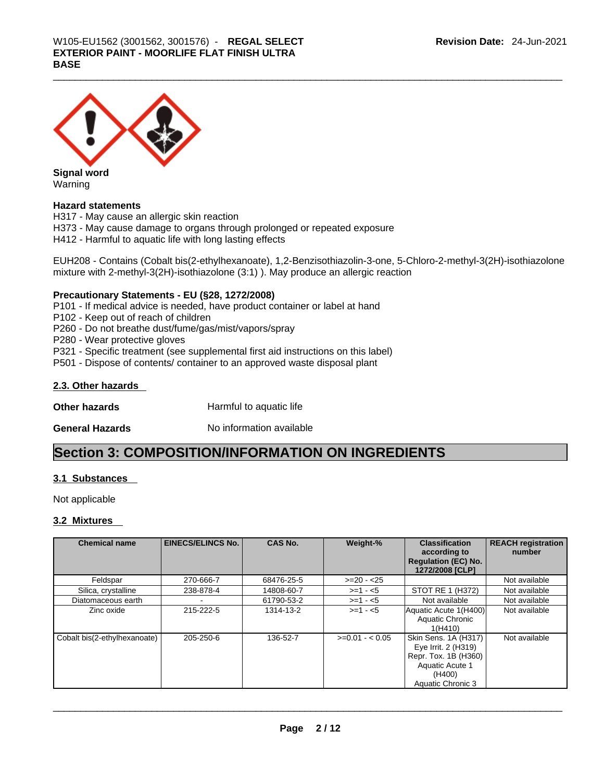

**Signal word** Warning

### **Hazard statements**

H317 - May cause an allergic skin reaction H373 - May cause damage to organs through prolonged or repeated exposure H412 - Harmful to aquatic life with long lasting effects

EUH208 - Contains (Cobalt bis(2-ethylhexanoate), 1,2-Benzisothiazolin-3-one, 5-Chloro-2-methyl-3(2H)-isothiazolone mixture with 2-methyl-3(2H)-isothiazolone (3:1) ). May produce an allergic reaction

### **Precautionary Statements - EU (§28, 1272/2008)**

P101 - If medical advice is needed, have product container or label at hand

- P102 Keep out of reach of children
- P260 Do not breathe dust/fume/gas/mist/vapors/spray
- P280 Wear protective gloves
- P321 Specific treatment (see supplemental first aid instructions on this label)
- P501 Dispose of contents/ container to an approved waste disposal plant

### **2.3. Other hazards**

**Other hazards Harmful to aquatic life** 

**General Hazards No information available** 

## **Section 3: COMPOSITION/INFORMATION ON INGREDIENTS**

### **3.1 Substances**

Not applicable

### **3.2 Mixtures**

| <b>Chemical name</b>         | <b>EINECS/ELINCS No.</b> | <b>CAS No.</b> | Weight-%        | <b>Classification</b><br>according to<br><b>Regulation (EC) No.</b><br>1272/2008 [CLP]                                | <b>REACH registration</b><br>number |
|------------------------------|--------------------------|----------------|-----------------|-----------------------------------------------------------------------------------------------------------------------|-------------------------------------|
| Feldspar                     | 270-666-7                | 68476-25-5     | $>=20 - 25$     |                                                                                                                       | Not available                       |
| Silica, crystalline          | 238-878-4                | 14808-60-7     | $>= 1 - 5$      | STOT RE 1 (H372)                                                                                                      | Not available                       |
| Diatomaceous earth           |                          | 61790-53-2     | $>=1 - 5$       | Not available                                                                                                         | Not available                       |
| Zinc oxide                   | 215-222-5                | 1314-13-2      | $>= 1 - 5$      | Aquatic Acute 1(H400)<br>Aquatic Chronic<br>1(H410)                                                                   | Not available                       |
| Cobalt bis(2-ethylhexanoate) | 205-250-6                | 136-52-7       | $>=0.01 - 0.05$ | Skin Sens. 1A (H317)<br>Eye Irrit. 2 (H319)<br>Repr. Tox. 1B (H360)<br>Aquatic Acute 1<br>(H400)<br>Aquatic Chronic 3 | Not available                       |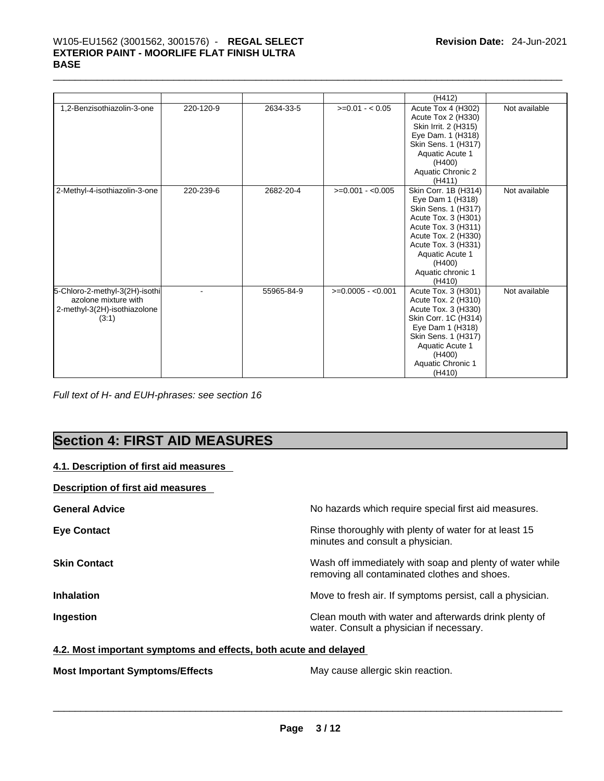# \_\_\_\_\_\_\_\_\_\_\_\_\_\_\_\_\_\_\_\_\_\_\_\_\_\_\_\_\_\_\_\_\_\_\_\_\_\_\_\_\_\_\_\_\_\_\_\_\_\_\_\_\_\_\_\_\_\_\_\_\_\_\_\_\_\_\_\_\_\_\_\_\_\_\_\_\_\_\_\_\_\_\_\_\_\_\_\_\_\_\_\_\_ W105-EU1562 (3001562, 3001576) - **REGAL SELECT EXTERIOR PAINT - MOORLIFE FLAT FINISH ULTRA BASE**

|                                                                                                 |           |            |                    | (H412)                                                                                                                                                                                                                  |               |
|-------------------------------------------------------------------------------------------------|-----------|------------|--------------------|-------------------------------------------------------------------------------------------------------------------------------------------------------------------------------------------------------------------------|---------------|
| 1,2-Benzisothiazolin-3-one                                                                      | 220-120-9 | 2634-33-5  | $>=0.01 - 0.05$    | Acute Tox 4 (H302)<br>Acute Tox 2 (H330)<br>Skin Irrit. 2 (H315)<br>Eye Dam. 1 (H318)<br>Skin Sens. 1 (H317)<br>Aquatic Acute 1<br>(H400)<br>Aquatic Chronic 2<br>(H411)                                                | Not available |
| 2-Methyl-4-isothiazolin-3-one                                                                   | 220-239-6 | 2682-20-4  | $>=0.001 - 0.005$  | Skin Corr. 1B (H314)<br>Eye Dam 1 (H318)<br>Skin Sens. 1 (H317)<br>Acute Tox. 3 (H301)<br>Acute Tox. 3 (H311)<br>Acute Tox. 2 (H330)<br>Acute Tox. 3 (H331)<br>Aquatic Acute 1<br>(H400)<br>Aquatic chronic 1<br>(H410) | Not available |
| 5-Chloro-2-methyl-3(2H)-isothi<br>azolone mixture with<br>2-methyl-3(2H)-isothiazolone<br>(3:1) |           | 55965-84-9 | $>=0.0005 - 0.001$ | Acute Tox. 3 (H301)<br>Acute Tox. 2 (H310)<br>Acute Tox. 3 (H330)<br>Skin Corr. 1C (H314)<br>Eye Dam 1 (H318)<br>Skin Sens. 1 (H317)<br>Aquatic Acute 1<br>(H400)<br>Aquatic Chronic 1<br>(H410)                        | Not available |

*Full text of H- and EUH-phrases: see section 16* 

# **Section 4: FIRST AID MEASURES**

### **4.1. Description of first aid measures**

**Description of first aid measures** 

| <b>General Advice</b> | No hazards which require special first aid measures.                                                     |
|-----------------------|----------------------------------------------------------------------------------------------------------|
| <b>Eye Contact</b>    | Rinse thoroughly with plenty of water for at least 15<br>minutes and consult a physician.                |
| <b>Skin Contact</b>   | Wash off immediately with soap and plenty of water while<br>removing all contaminated clothes and shoes. |
| <b>Inhalation</b>     | Move to fresh air. If symptoms persist, call a physician.                                                |
| Ingestion             | Clean mouth with water and afterwards drink plenty of<br>water. Consult a physician if necessary.        |

### **4.2. Most important symptoms and effects, both acute and delayed**

**Most Important Symptoms/Effects** May cause allergic skin reaction. \_\_\_\_\_\_\_\_\_\_\_\_\_\_\_\_\_\_\_\_\_\_\_\_\_\_\_\_\_\_\_\_\_\_\_\_\_\_\_\_\_\_\_\_\_\_\_\_\_\_\_\_\_\_\_\_\_\_\_\_\_\_\_\_\_\_\_\_\_\_\_\_\_\_\_\_\_\_\_\_\_\_\_\_\_\_\_\_\_\_\_\_\_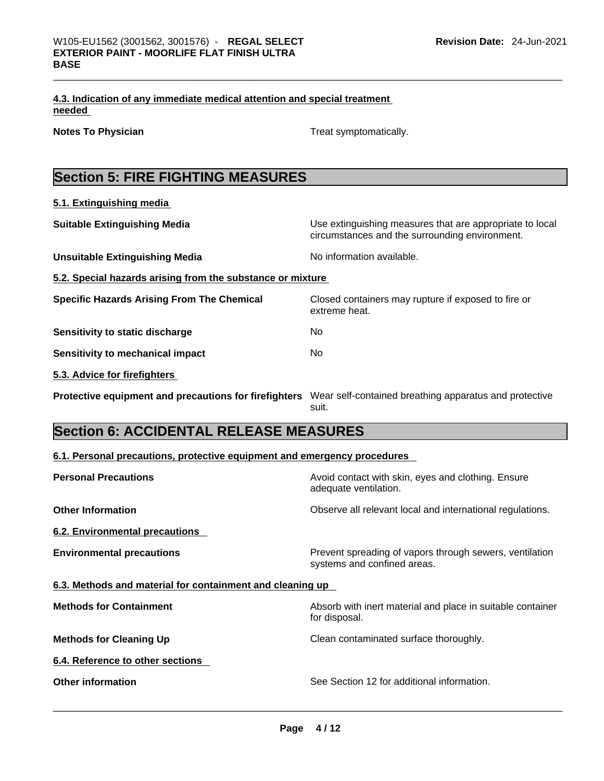|        | 4.3. Indication of any immediate medical attention and special treatment |  |
|--------|--------------------------------------------------------------------------|--|
| needed |                                                                          |  |

**Notes To Physician Treat symptomatically.** 

|--|

**5.1. Extinguishing media**

| <b>Suitable Extinguishing Media</b>                        | Use extinguishing measures that are appropriate to local<br>circumstances and the surrounding environment. |
|------------------------------------------------------------|------------------------------------------------------------------------------------------------------------|
| <b>Unsuitable Extinguishing Media</b>                      | No information available.                                                                                  |
| 5.2. Special hazards arising from the substance or mixture |                                                                                                            |
| <b>Specific Hazards Arising From The Chemical</b>          | Closed containers may rupture if exposed to fire or<br>extreme heat.                                       |
| Sensitivity to static discharge                            | No                                                                                                         |
| Sensitivity to mechanical impact                           | No.                                                                                                        |
| 5.3. Advice for firefighters                               |                                                                                                            |
| Protective equipment and precautions for firefighters      | Wear self-contained breathing apparatus and protective<br>suit.                                            |

# **Section 6: ACCIDENTAL RELEASE MEASURES**

| 6.1. Personal precautions, protective equipment and emergency procedures |  |  |  |  |
|--------------------------------------------------------------------------|--|--|--|--|
|--------------------------------------------------------------------------|--|--|--|--|

| <b>Personal Precautions</b>                               | Avoid contact with skin, eyes and clothing. Ensure<br>adequate ventilation.            |
|-----------------------------------------------------------|----------------------------------------------------------------------------------------|
| <b>Other Information</b>                                  | Observe all relevant local and international regulations.                              |
| 6.2. Environmental precautions                            |                                                                                        |
| <b>Environmental precautions</b>                          | Prevent spreading of vapors through sewers, ventilation<br>systems and confined areas. |
| 6.3. Methods and material for containment and cleaning up |                                                                                        |
| <b>Methods for Containment</b>                            | Absorb with inert material and place in suitable container<br>for disposal.            |
| <b>Methods for Cleaning Up</b>                            | Clean contaminated surface thoroughly.                                                 |
| 6.4. Reference to other sections                          |                                                                                        |
| <b>Other information</b>                                  | See Section 12 for additional information.                                             |
|                                                           |                                                                                        |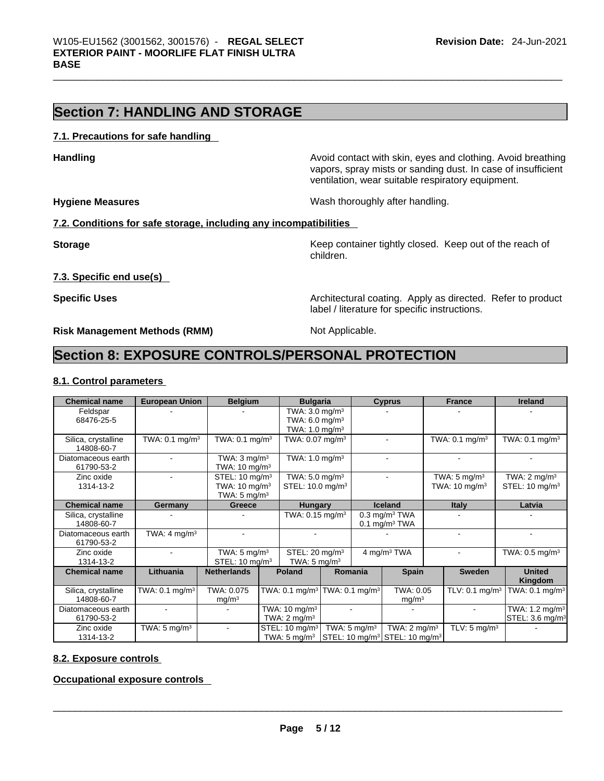# **Section 7: HANDLING AND STORAGE**

### **7.1. Precautions for safe handling**

**Handling <b>Avoid** contact with skin, eyes and clothing. Avoid breathing and state of the sking of the sking and clothing. Avoid breathing vapors, spray mists or sanding dust. In case of insufficient ventilation, wear suitable respiratory equipment.

**Hygiene Measures Wash thoroughly after handling.** 

### **7.2. Conditions for safe storage, including any incompatibilities**

**Storage Keep container tightly closed. Keep out of the reach of the reach of the reach of the reach of the reach of the reach of the reach of the reach of the reach of the reach of the reach of the reach of the reach of** children.

**7.3. Specific end use(s)** 

**Specific Uses Architectural coating. Apply as directed. Refer to product Specific Uses** label / literature for specific instructions.

**Risk Management Methods (RMM)** Not Applicable.

# **Section 8: EXPOSURE CONTROLS/PERSONAL PROTECTION**

### **8.1. Control parameters**

| <b>Chemical name</b>              | <b>European Union</b>        | <b>Belgium</b>                                                                   | <b>Bulgaria</b>                                                                     |                         | <b>Cyprus</b>                                                                                  | <b>France</b>                                       | <b>Ireland</b>                                           |
|-----------------------------------|------------------------------|----------------------------------------------------------------------------------|-------------------------------------------------------------------------------------|-------------------------|------------------------------------------------------------------------------------------------|-----------------------------------------------------|----------------------------------------------------------|
| Feldspar<br>68476-25-5            |                              |                                                                                  | TWA: $3.0 \text{ mg/m}^3$<br>TWA: $6.0 \text{ mg/m}^3$<br>TWA: $1.0 \text{ mg/m}^3$ |                         |                                                                                                |                                                     |                                                          |
| Silica, crystalline<br>14808-60-7 | TWA: 0.1 mg/m <sup>3</sup>   | TWA: $0.1$ mg/m <sup>3</sup>                                                     | TWA: $0.07$ mg/m <sup>3</sup>                                                       |                         |                                                                                                | TWA: $0.1 \text{ mg/m}^3$                           | TWA: $0.1$ mg/m $3$                                      |
| Diatomaceous earth<br>61790-53-2  |                              | TWA: $3 \text{ mg/m}^3$<br>TWA: $10 \text{ mg/m}^3$                              | TWA: $1.0$ mg/m <sup>3</sup>                                                        |                         |                                                                                                |                                                     |                                                          |
| Zinc oxide<br>1314-13-2           |                              | STEL: $10 \text{ mg/m}^3$<br>TWA: $10 \text{ mg/m}^3$<br>TWA: $5 \text{ mg/m}^3$ | TWA: $5.0$ mg/m <sup>3</sup><br>STEL: 10.0 mg/m <sup>3</sup>                        |                         |                                                                                                | TWA: $5 \text{ mg/m}^3$<br>TWA: $10 \text{ mg/m}^3$ | TWA: $2 \text{ mq/m}^3$<br>STEL: $10 \text{ mg/m}^3$     |
| <b>Chemical name</b>              | Germany                      | Greece                                                                           | <b>Hungary</b>                                                                      |                         | <b>Iceland</b>                                                                                 | <b>Italy</b>                                        | Latvia                                                   |
| Silica, crystalline<br>14808-60-7 |                              |                                                                                  | TWA: $0.15 \text{ mg/m}^3$                                                          |                         | $0.3$ mg/m $3$ TWA<br>$0.1$ mg/m <sup>3</sup> TWA                                              |                                                     |                                                          |
| Diatomaceous earth<br>61790-53-2  | TWA: $4 \text{ mg/m}^3$      |                                                                                  |                                                                                     |                         |                                                                                                |                                                     |                                                          |
| Zinc oxide<br>1314-13-2           |                              | TWA: $5 \text{ mg/m}^3$<br>STEL: $10 \text{ mg/m}^3$                             | STEL: 20 mg/m <sup>3</sup><br>TWA: $5 \text{ mg/m}^3$                               |                         | 4 mg/m <sup>3</sup> TWA                                                                        |                                                     | TWA: $0.5$ mg/m $3$                                      |
| <b>Chemical name</b>              | Lithuania                    | <b>Netherlands</b>                                                               | <b>Poland</b>                                                                       | Romania                 | <b>Spain</b>                                                                                   | <b>Sweden</b>                                       | <b>United</b><br>Kingdom                                 |
| Silica, crystalline<br>14808-60-7 | TWA: $0.1$ mg/m <sup>3</sup> | TWA: 0.075<br>mg/m <sup>3</sup>                                                  | TWA: 0.1 mg/m $3$ TWA: 0.1 mg/m $^3$                                                |                         | TWA: 0.05<br>mg/m <sup>3</sup>                                                                 | TLV: $0.1$ mg/m <sup>3</sup>                        | TWA: $0.1 \text{ mg/m}^3$                                |
| Diatomaceous earth<br>61790-53-2  |                              |                                                                                  | TWA: $10 \text{ mg/m}^3$<br>TWA: $2 \text{ mg/m}^3$                                 |                         |                                                                                                |                                                     | TWA: $1.2 \text{ mg/m}^3$<br>STEL: 3.6 mg/m <sup>3</sup> |
| Zinc oxide<br>1314-13-2           | TWA: $5 \text{ mg/m}^3$      |                                                                                  | STEL: 10 mg/m <sup>3</sup><br>TWA: $5 \text{ mg/m}^3$                               | TWA: $5 \text{ mg/m}^3$ | TWA: $2 \text{ mq/m}^3$<br>$\textsf{STEL}: 10 \text{ mg/m}^3 \textsf{STEL}: 10 \text{ mg/m}^3$ | TLV: $5 \text{ mg/m}^3$                             |                                                          |

### **8.2. Exposure controls**

**Occupational exposure controls**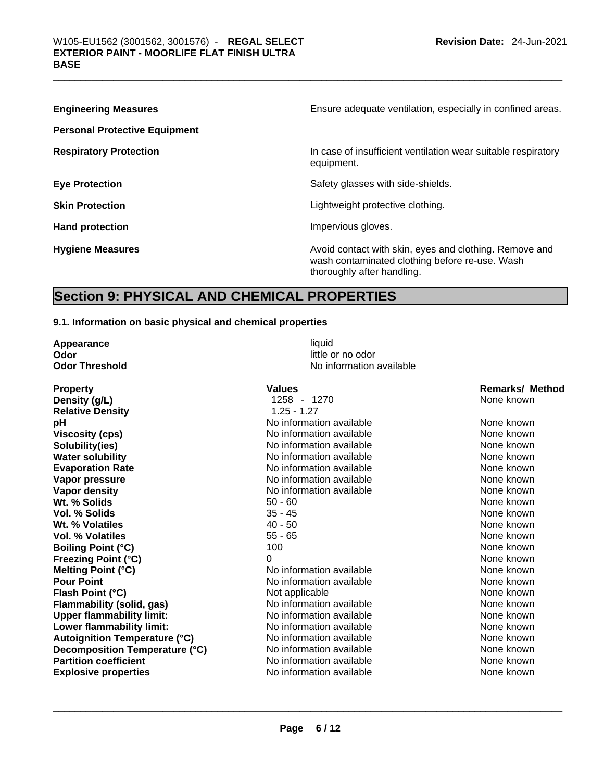| <b>Engineering Measures</b>          | Ensure adequate ventilation, especially in confined areas.                                                                             |
|--------------------------------------|----------------------------------------------------------------------------------------------------------------------------------------|
| <b>Personal Protective Equipment</b> |                                                                                                                                        |
| <b>Respiratory Protection</b>        | In case of insufficient ventilation wear suitable respiratory<br>equipment.                                                            |
| <b>Eye Protection</b>                | Safety glasses with side-shields.                                                                                                      |
| <b>Skin Protection</b>               | Lightweight protective clothing.                                                                                                       |
| <b>Hand protection</b>               | Impervious gloves.                                                                                                                     |
| <b>Hygiene Measures</b>              | Avoid contact with skin, eyes and clothing. Remove and<br>wash contaminated clothing before re-use. Wash<br>thoroughly after handling. |

# **Section 9: PHYSICAL AND CHEMICAL PROPERTIES**

### **9.1. Information on basic physical and chemical properties**

| Appearance            |  |  |  |  |  |
|-----------------------|--|--|--|--|--|
| Odor                  |  |  |  |  |  |
| <b>Odor Threshold</b> |  |  |  |  |  |

**Property Contract Property Contract Property Contract Property Remarks/ Method Values Density (g/L) 1258** - 1270 **None known Relative Density** 1.25 - 1.27 **pH Notify Allen available No information available None known None known Viscosity (cps) No information available None known** None known **Solubility(ies)** No information available None known None known **Water solubility Mater and None Known No information available None Known None known Evaporation Rate Notify Algebra 2012 M** No information available **Notify Algebra 2013** None known **Vapor pressure No information available None known** None known **Vapor density Notify Notify Note 2008** None known **None known None known None known Wt. % Solids** 50 - 60 None known **Vol. % Solids** 35 - 45 None known **Wt. % Volatiles**  40 - 50 None known None known **Vol. % Volatiles 55 - 65** None known **None known Boiling Point (°C)** 100 100 None known **Freezing Point (°C)** 0 0 0 0 0 None known **Melting Point (°C) None known** No information available and the None known None known<br> **Pour Point** None known None known No information available and the None known **Flash Point (°C) Not applicable None known None known Flammability (solid, gas)** No information available None Known None known **Upper flammability limit:** No information available None known **Lower flammability limit:** No information available None Known None known **Autoignition Temperature (°C)** No information available None Known None known **Decomposition Temperature (°C)** No information available None Known None known **Partition coefficient No information available** None known **Explosive properties** No information available None known \_\_\_\_\_\_\_\_\_\_\_\_\_\_\_\_\_\_\_\_\_\_\_\_\_\_\_\_\_\_\_\_\_\_\_\_\_\_\_\_\_\_\_\_\_\_\_\_\_\_\_\_\_\_\_\_\_\_\_\_\_\_\_\_\_\_\_\_\_\_\_\_\_\_\_\_\_\_\_\_\_\_\_\_\_\_\_\_\_\_\_\_\_

**Appearance liquid a Odor** little or no odor **Odor Threshold** No information available

No information available None known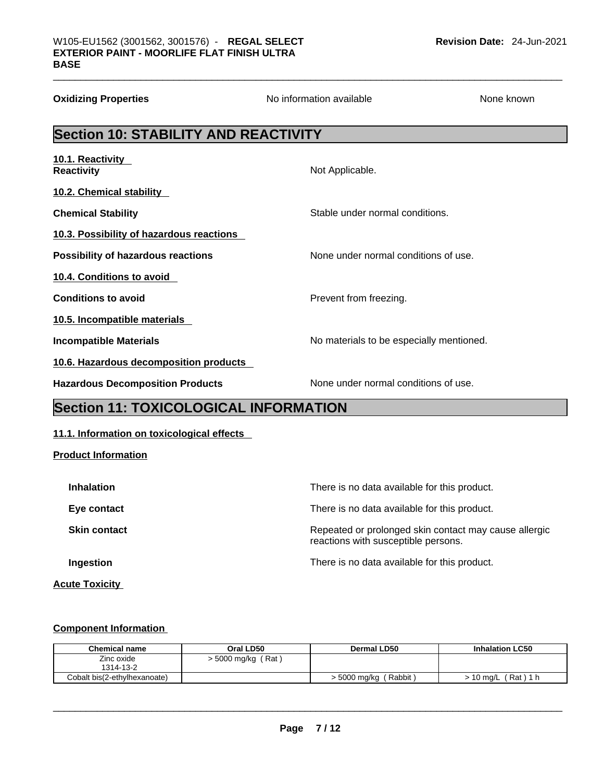| <b>Oxidizing Properties</b>                 | No information available                 | None known |  |  |  |  |  |
|---------------------------------------------|------------------------------------------|------------|--|--|--|--|--|
| <b>Section 10: STABILITY AND REACTIVITY</b> |                                          |            |  |  |  |  |  |
| 10.1. Reactivity<br><b>Reactivity</b>       | Not Applicable.                          |            |  |  |  |  |  |
| <b>10.2. Chemical stability</b>             |                                          |            |  |  |  |  |  |
| <b>Chemical Stability</b>                   | Stable under normal conditions.          |            |  |  |  |  |  |
| 10.3. Possibility of hazardous reactions    |                                          |            |  |  |  |  |  |
| Possibility of hazardous reactions          | None under normal conditions of use.     |            |  |  |  |  |  |
| 10.4. Conditions to avoid                   |                                          |            |  |  |  |  |  |
| <b>Conditions to avoid</b>                  | Prevent from freezing.                   |            |  |  |  |  |  |
| 10.5. Incompatible materials                |                                          |            |  |  |  |  |  |
| <b>Incompatible Materials</b>               | No materials to be especially mentioned. |            |  |  |  |  |  |
| 10.6. Hazardous decomposition products      |                                          |            |  |  |  |  |  |
| <b>Hazardous Decomposition Products</b>     | None under normal conditions of use.     |            |  |  |  |  |  |

# **Section 11: TOXICOLOGICAL INFORMATION**

### **11.1. Information on toxicological effects**

**Product Information**

| <b>Inhalation</b>     | There is no data available for this product.                                                 |
|-----------------------|----------------------------------------------------------------------------------------------|
| Eye contact           | There is no data available for this product.                                                 |
| <b>Skin contact</b>   | Repeated or prolonged skin contact may cause allergic<br>reactions with susceptible persons. |
| Ingestion             | There is no data available for this product.                                                 |
| <b>Acute Toxicity</b> |                                                                                              |

### **Component Information**

| <b>Chemical name</b>         | Oral LD50               | Dermal LD50              | <b>Inhalation LC50</b> |
|------------------------------|-------------------------|--------------------------|------------------------|
| Zinc oxide                   | (Rat)<br>> 5000 mg/kg / |                          |                        |
| 1314-13-2                    |                         |                          |                        |
| Cobalt bis(2-ethylhexanoate) |                         | > 5000 mg/kg<br>(Rabbit) | Rat ) 1 h<br>10 mg/L   |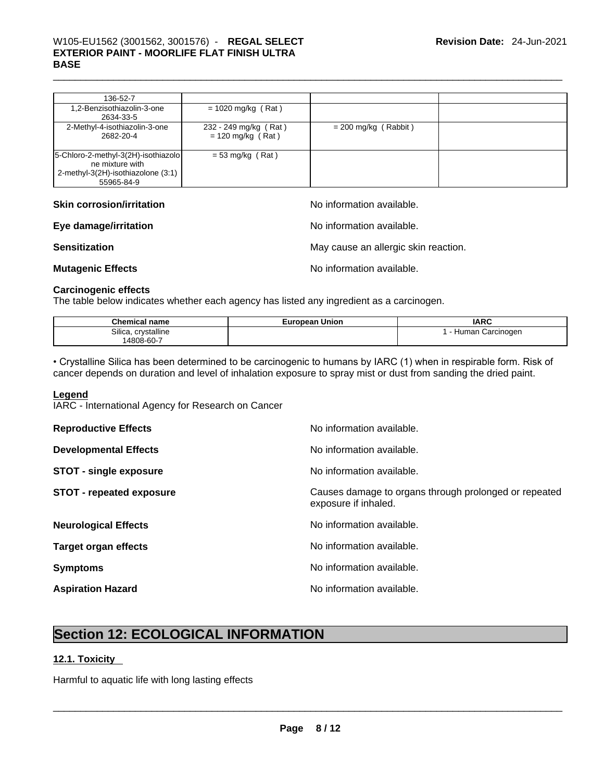| 136-52-7                                                                                                   |                                              |                        |  |
|------------------------------------------------------------------------------------------------------------|----------------------------------------------|------------------------|--|
| 1,2-Benzisothiazolin-3-one<br>2634-33-5                                                                    | $= 1020$ mg/kg (Rat)                         |                        |  |
| 2-Methyl-4-isothiazolin-3-one<br>2682-20-4                                                                 | 232 - 249 mg/kg (Rat)<br>$= 120$ mg/kg (Rat) | $= 200$ mg/kg (Rabbit) |  |
| 5-Chloro-2-methyl-3(2H)-isothiazolo<br>ne mixture with<br>2-methyl-3(2H)-isothiazolone (3:1)<br>55965-84-9 | $= 53$ mg/kg (Rat)                           |                        |  |

| <b>Skin corrosion/irritation</b> | No information available.            |
|----------------------------------|--------------------------------------|
| Eye damage/irritation            | No information available.            |
| <b>Sensitization</b>             | May cause an allergic skin reaction. |
| <b>Mutagenic Effects</b>         | No information available.            |

### **Carcinogenic effects**

The table below indicates whether each agency has listed any ingredient as a carcinogen.

| $^{\circ}$ ham.<br>name<br>emic:                         | Union<br>curopear | <b>IARC</b>                            |
|----------------------------------------------------------|-------------------|----------------------------------------|
| <br>Silica.<br>crystalline<br>$   -$<br>$14808 - 60 - 1$ |                   | Carcinogen<br><b>Hum</b><br>nar<br>. . |

• Crystalline Silica has been determined to be carcinogenic to humans by IARC (1) when in respirable form. Risk of cancer depends on duration and level of inhalation exposure to spray mist or dust from sanding the dried paint.

### **Legend**

IARC - International Agency for Research on Cancer

| <b>Reproductive Effects</b>     | No information available.                                                     |
|---------------------------------|-------------------------------------------------------------------------------|
| <b>Developmental Effects</b>    | No information available.                                                     |
| <b>STOT - single exposure</b>   | No information available.                                                     |
| <b>STOT - repeated exposure</b> | Causes damage to organs through prolonged or repeated<br>exposure if inhaled. |
| <b>Neurological Effects</b>     | No information available.                                                     |
| <b>Target organ effects</b>     | No information available.                                                     |
| <b>Symptoms</b>                 | No information available.                                                     |
| <b>Aspiration Hazard</b>        | No information available.                                                     |

# **Section 12: ECOLOGICAL INFORMATION**

### **12.1. Toxicity**

Harmful to aquatic life with long lasting effects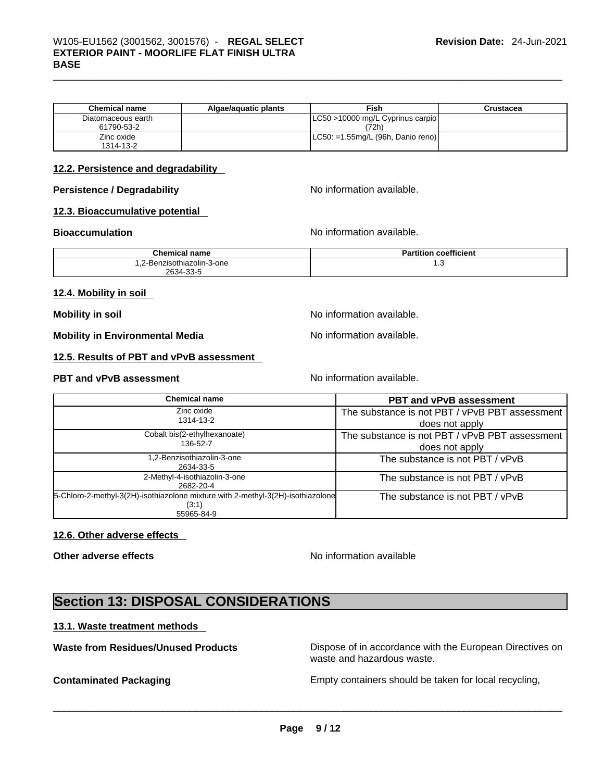| <b>Chemical name</b> | Algae/aguatic plants | Fish                                   | Crustacea |
|----------------------|----------------------|----------------------------------------|-----------|
| Diatomaceous earth   |                      | LC50 >10000 mg/L Cyprinus carpio       |           |
| 61790-53-2           |                      | (72h)                                  |           |
| Zinc oxide           |                      | $ $ LC50: =1.55mg/L (96h, Danio rerio) |           |
| 1314-13-2            |                      |                                        |           |

### **12.2. Persistence and degradability**

### **Persistence / Degradability** No information available.

### **12.3. Bioaccumulative potential**

**Bioaccumulation No information available. No information available.** 

| <b>Chemical name</b>       | coefficient<br>rtitior،<br>- ан |
|----------------------------|---------------------------------|
| 1.2-Benzisothiazolin-3-one | ں. ا                            |
| 2634-33-5                  |                                 |

### **12.4. Mobility in soil**

**Mobility in soil Mobility in soil Mobility in soil** 

**Mobility in Environmental Media** Noinformation available.

**12.5. Results of PBT and vPvB assessment** 

### **PBT** and **vPvB** assessment **No information available.**

| <b>Chemical name</b>                                                                     | <b>PBT and vPvB assessment</b>                 |
|------------------------------------------------------------------------------------------|------------------------------------------------|
| Zinc oxide                                                                               | The substance is not PBT / vPvB PBT assessment |
| 1314-13-2                                                                                | does not apply                                 |
| Cobalt bis(2-ethylhexanoate)                                                             | The substance is not PBT / vPvB PBT assessment |
| 136-52-7                                                                                 | does not apply                                 |
| 1,2-Benzisothiazolin-3-one<br>2634-33-5                                                  | The substance is not PBT / vPvB                |
| 2-Methyl-4-isothiazolin-3-one<br>2682-20-4                                               | The substance is not PBT / vPvB                |
| 5-Chloro-2-methyl-3(2H)-isothiazolone mixture with 2-methyl-3(2H)-isothiazolone<br>(3:1) | The substance is not PBT / vPvB                |
| 55965-84-9                                                                               |                                                |

### **12.6. Other adverse effects**

**Other adverse effects No information available No information available** 

# **Section 13: DISPOSAL CONSIDERATIONS**

### **13.1. Waste treatment methods**

**Waste from Residues/Unused Products** Dispose of in accordance with the European Directives on waste and hazardous waste.

**Contaminated Packaging <b>Empty Containers** should be taken for local recycling,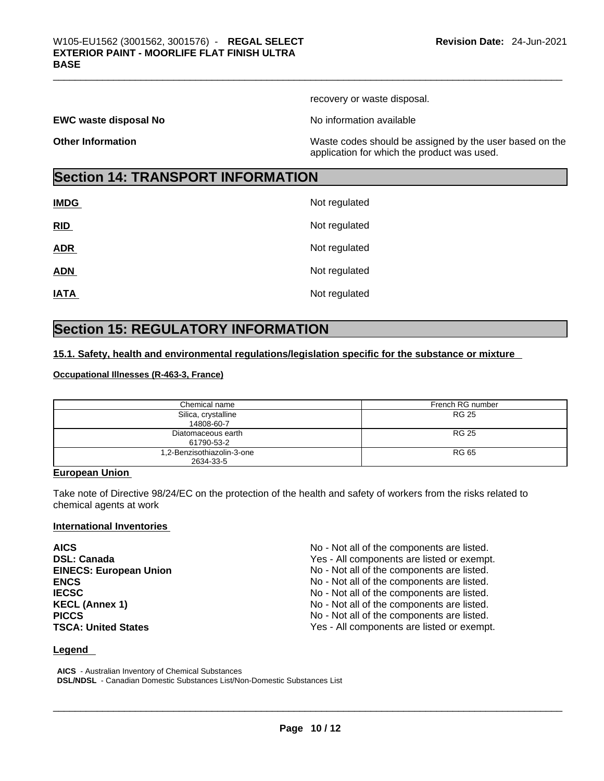recovery or waste disposal.

**EWC waste disposal No No information available** 

**Other Information** Maste codes should be assigned by the user based on the user based on the application for which the product was used.

# **Section 14: TRANSPORT INFORMATION**

| <b>IMDG</b> | Not regulated |
|-------------|---------------|
| RID         | Not regulated |
| <b>ADR</b>  | Not regulated |
| <b>ADN</b>  | Not regulated |
| <b>IATA</b> | Not regulated |

# **Section 15: REGULATORY INFORMATION**

### **15.1. Safety, health and environmental regulations/legislation specific for the substance or mixture**

### **Occupational Illnesses (R-463-3, France)**

| Chemical name                           | French RG number |
|-----------------------------------------|------------------|
| Silica, crystalline<br>14808-60-7       | RG 25            |
| Diatomaceous earth<br>61790-53-2        | RG 25            |
| 1,2-Benzisothiazolin-3-one<br>2634-33-5 | RG 65            |

### **European Union**

Take note of Directive 98/24/EC on the protection of the health and safety of workers from the risks related to chemical agents at work

### **International Inventories**

| <b>AICS</b>                   | No - Not all of the components are listed. |
|-------------------------------|--------------------------------------------|
| <b>DSL: Canada</b>            | Yes - All components are listed or exempt. |
| <b>EINECS: European Union</b> | No - Not all of the components are listed. |
| <b>ENCS</b>                   | No - Not all of the components are listed. |
| <b>IECSC</b>                  | No - Not all of the components are listed. |
| <b>KECL (Annex 1)</b>         | No - Not all of the components are listed. |
| <b>PICCS</b>                  | No - Not all of the components are listed. |
| <b>TSCA: United States</b>    | Yes - All components are listed or exempt. |

### **Legend**

**AICS** - Australian Inventory of Chemical Substances **DSL/NDSL** - Canadian Domestic Substances List/Non-Domestic Substances List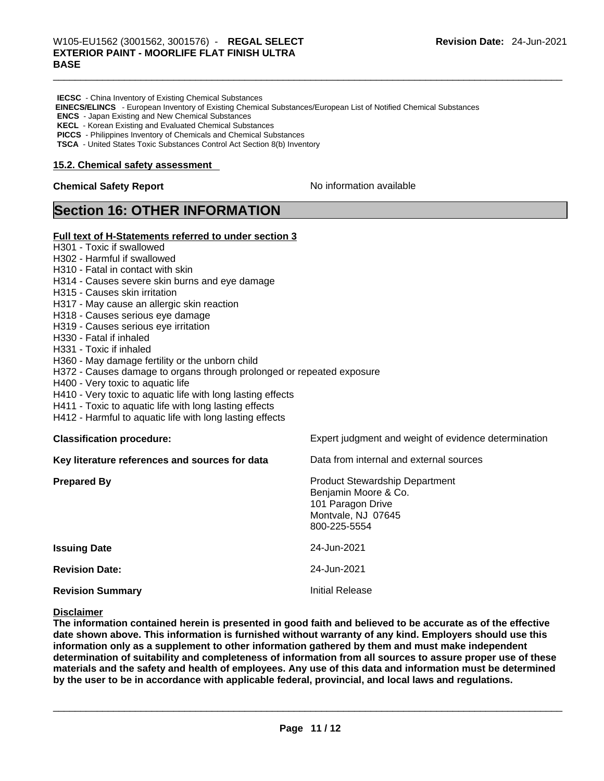- **IECSC** China Inventory of Existing Chemical Substances
- **EINECS/ELINCS**  European Inventory of Existing Chemical Substances/European List of Notified Chemical Substances
- **ENCS** Japan Existing and New Chemical Substances
- **KECL** Korean Existing and Evaluated Chemical Substances
- **PICCS** Philippines Inventory of Chemicals and Chemical Substances
- **TSCA** United States Toxic Substances Control Act Section 8(b) Inventory

### **15.2. Chemical safety assessment**

### **Chemical Safety Report Chemical Safety Report No information available**

## **Section 16: OTHER INFORMATION**

### **Full text of H-Statements referred to under section 3**

- H301 Toxic if swallowed
- H302 Harmful if swallowed
- H310 Fatal in contact with skin
- H314 Causes severe skin burns and eye damage
- H315 Causes skin irritation
- H317 May cause an allergic skin reaction
- H318 Causes serious eye damage
- H319 Causes serious eye irritation
- H330 Fatal if inhaled
- H331 Toxic if inhaled
- H360 May damage fertility or the unborn child
- H372 Causes damage to organs through prolonged or repeated exposure
- H400 Very toxic to aquatic life
- H410 Very toxic to aquatic life with long lasting effects
- H411 Toxic to aquatic life with long lasting effects
- H412 Harmful to aquatic life with long lasting effects

| <b>Classification procedure:</b>               | Expert judgment and weight of evidence determination                                                                     |
|------------------------------------------------|--------------------------------------------------------------------------------------------------------------------------|
| Key literature references and sources for data | Data from internal and external sources                                                                                  |
| <b>Prepared By</b>                             | <b>Product Stewardship Department</b><br>Benjamin Moore & Co.<br>101 Paragon Drive<br>Montvale, NJ 07645<br>800-225-5554 |
| <b>Issuing Date</b>                            | 24-Jun-2021                                                                                                              |
| <b>Revision Date:</b>                          | 24-Jun-2021                                                                                                              |
| <b>Revision Summary</b>                        | Initial Release                                                                                                          |

### **Disclaimer**

The information contained herein is presented in good faith and believed to be accurate as of the effective **date shown above. This information isfurnished without warranty of any kind. Employers should use this information only as a supplement to other information gathered by them and must make independent determination of suitability and completeness of information from all sources to assure proper use of these** materials and the safety and health of employees. Any use of this data and information must be determined **by the user to be in accordance with applicable federal, provincial, and local laws and regulations.**